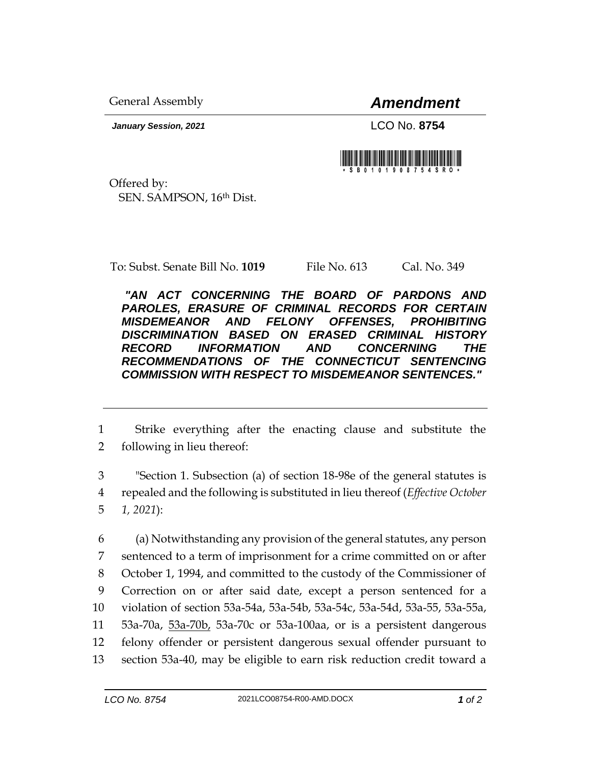General Assembly *Amendment*

*January Session, 2021* LCO No. **8754**

Offered by: SEN. SAMPSON, 16th Dist.

To: Subst. Senate Bill No. **1019** File No. 613 Cal. No. 349

*"AN ACT CONCERNING THE BOARD OF PARDONS AND PAROLES, ERASURE OF CRIMINAL RECORDS FOR CERTAIN MISDEMEANOR AND FELONY OFFENSES, PROHIBITING DISCRIMINATION BASED ON ERASED CRIMINAL HISTORY RECORD INFORMATION AND CONCERNING THE RECOMMENDATIONS OF THE CONNECTICUT SENTENCING COMMISSION WITH RESPECT TO MISDEMEANOR SENTENCES."* 

1 Strike everything after the enacting clause and substitute the 2 following in lieu thereof:

3 "Section 1. Subsection (a) of section 18-98e of the general statutes is 4 repealed and the following is substituted in lieu thereof (*Effective October*  5 *1, 2021*):

 (a) Notwithstanding any provision of the general statutes, any person sentenced to a term of imprisonment for a crime committed on or after October 1, 1994, and committed to the custody of the Commissioner of Correction on or after said date, except a person sentenced for a violation of section 53a-54a, 53a-54b, 53a-54c, 53a-54d, 53a-55, 53a-55a, 53a-70a, 53a-70b, 53a-70c or 53a-100aa, or is a persistent dangerous felony offender or persistent dangerous sexual offender pursuant to section 53a-40, may be eligible to earn risk reduction credit toward a